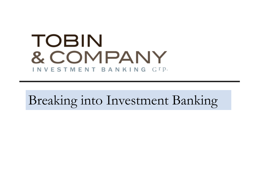# **TOBIN** & COMPANY INVESTMENT BANKING GIP.

Breaking into Investment Banking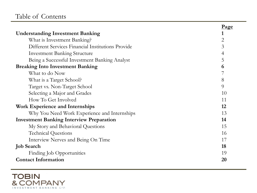#### Table of Contents

|                                                   | <u>Page</u> |
|---------------------------------------------------|-------------|
| <b>Understanding Investment Banking</b>           | 1           |
| What is Investment Banking?                       | 2           |
| Different Services Financial Institutions Provide | 3           |
| <b>Investment Banking Structure</b>               | 4           |
| Being a Successful Investment Banking Analyst     | 5           |
| <b>Breaking Into Investment Banking</b>           | 6           |
| What to do Now                                    |             |
| What is a Target School?                          | 8           |
| Target vs. Non-Target School                      | 9           |
| Selecting a Major and Grades                      | 10          |
| How To Get Involved                               | 11          |
| <b>Work Experience and Internships</b>            | 12          |
| Why You Need Work Experience and Internships      | 13          |
| <b>Investment Banking Interview Preparation</b>   | 14          |
| My Story and Behavioral Questions                 | 15          |
| <b>Technical Questions</b>                        | 16          |
| Interview Nerves and Being On Time                | 17          |
| <b>Job Search</b>                                 | 18          |
| Finding Job Opportunities                         | 19          |
| <b>Contact Information</b>                        | 20          |

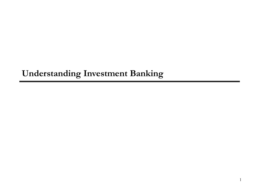## **Understanding Investment Banking**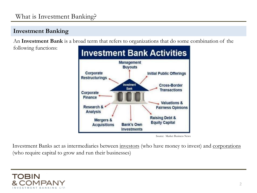#### **Investment Banking**

An **Investment Bank** is a broad term that refers to organizations that do some combination of the

following functions:



Source: Market Business News

Investment Banks act as intermediaries between [investors](https://corporatefinanceinstitute.com/resources/careers/map/buy-side/) (who have money to invest) and [corporations](https://corporatefinanceinstitute.com/resources/careers/map/corporate/) (who require capital to grow and run their businesses)

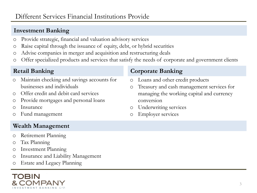#### **Investment Banking**

- o Provide strategic, financial and valuation advisory services
- o Raise capital through the issuance of equity, debt, or hybrid securities
- o Advise companies in merger and acquisition and restructuring deals
- o Offer specialized products and services that satisfy the needs of corporate and government clients

#### **Retail Banking**

- o Maintain checking and savings accounts for businesses and individuals
- o Offer credit and debit card services
- o Provide mortgages and personal loans
- o Insurance
- Fund management

#### **Wealth Management**

- o Retirement Planning
- o Tax Planning
- o Investment Planning
- o Insurance and Liability Management
- o Estate and Legacy Planning

# TOBIN

#### **Corporate Banking**

- o Loans and other credit products
- o Treasury and cash management services for managing the working capital and currency conversion
- o Underwriting services
- o Employer services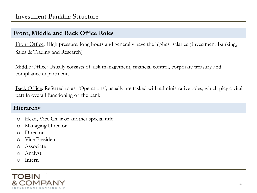#### **Front, Middle and Back Office Roles**

Front Office: High pressure, long hours and generally have the highest salaries (Investment Banking, Sales & Trading and Research)

Middle Office: Usually consists of risk management, financial control, corporate treasury and compliance departments

Back Office: Referred to as 'Operations'; usually are tasked with administrative roles, which play a vital part in overall functioning of the bank

#### **Hierarchy**

- o Head, Vice Chair or another special title
- o Managing Director
- o Director
- o Vice President
- o Associate
- o Analyst
- o Intern

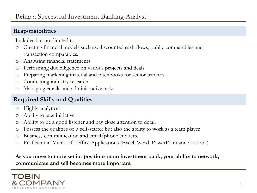#### **Responsibilities**

Includes but not limited to:

- o Creating financial models such as: discounted cash flows, public comparables and transaction comparables.
- o Analyzing financial statements
- o Performing due diligence on various projects and deals
- o Preparing marketing material and pitchbooks for senior bankers
- o Conducting industry research
- o Managing emails and administrative tasks

#### **Required Skills and Qualities**

- o Highly analytical
- o Ability to take initiative
- o Ability to be a good listener and pay close attention to detail
- o Possess the qualities of a self-starter but also the ability to work as a team player
- o Business communication and email/phone etiquette
- o Proficient in Microsoft Office Applications (Excel, Word, PowerPoint and Outlook)

**As you move to more senior positions at an investment bank, your ability to network, communicate and sell becomes more important**

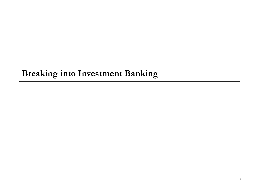# **Breaking into Investment Banking**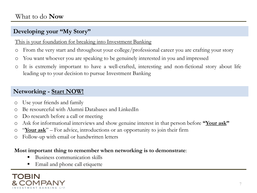#### **Developing your "My Story"**

This is your foundation for breaking into Investment Banking

- o From the very start and throughout your college/professional career you are crafting your story
- o You want whoever you are speaking to be genuinely interested in you and impressed
- o It is extremely important to have a well-crafted, interesting and non-fictional story about life leading up to your decision to pursue Investment Banking

#### **Networking - Start NOW!**

- o Use your friends and family
- o Be resourceful with Alumni Databases and LinkedIn
- o Do research before a call or meeting
- o Ask for informational interviews and show genuine interest in that person before **"Your ask"**
- o "**Your ask**" For advice, introductions or an opportunity to join their firm
- o Follow-up with email or handwritten letters

#### **Most important thing to remember when networking is to demonstrate**:

- Business communication skills
- Email and phone call etiquette

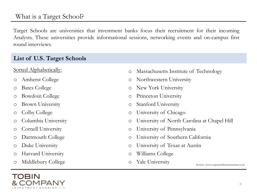#### What is a Target School?

Target Schools are universities that investment banks focus their recruitment for their incoming Analysts. These universities provide informational sessions, networking events and on-campus first round interviews.

#### **List of U.S. Target Schools**

- o Amherst College
- o Bates College
- o Bowdoin College
- o Brown University
- o Colby College
- o Columbia University
- o Cornell University
- o Dartmouth College
- o Duke University
- o Harvard University
- o Middlebury College



- Sorted Alphabetically:  $\circ$  Massachusetts Institute of Technology
	- o Northwestern University
	- o New York University
	- o Princeton University
	- o Stanford University
	- o University of Chicago
	- o University of North Carolina at Chapel Hill
	- o University of Pennsylvania
	- o University of Southern California
	- o University of Texas at Austin
	- o Williams College
	- o Yale University

Source: www.corporatefinanceinstitute.com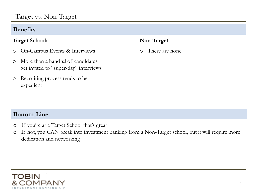#### **Benefits**

#### **Target School:**

- o On-Campus Events & Interviews
- o More than a handful of candidates get invited to "super-day" interviews
- o Recruiting process tends to be expedient

#### **Non-Target:**

o There are none

#### **Bottom-Line**

- o If you're at a Target School that's great
- o If not, you CAN break into investment banking from a Non-Target school, but it will require more dedication and networking

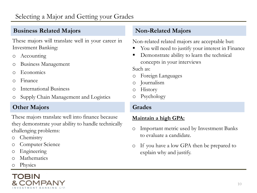#### **Business Related Majors**

These majors will translate well in your career in Investment Banking:

- o Accounting
- o Business Management
- o Economics
- o Finance
- o International Business
- o Supply Chain Management and Logistics

#### **Other Majors**

These majors translate well into finance because they demonstrate your ability to handle technically challenging problems:

- o Chemistry
- o Computer Science
- o Engineering
- o Mathematics
- o Physics



#### **Non-Related Majors**

Non-related related majors are acceptable but:

- You will need to justify your interest in Finance
- Demonstrate ability to learn the technical concepts in your interviews

Such as:

- o Foreign Languages
- o Journalism
- o History
- o Psychology

#### **Grades**

#### **Maintain a high GPA:**

- o Important metric used by Investment Banks to evaluate a candidate.
- o If you have a low GPA then be prepared to explain why and justify.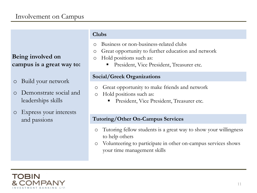#### **Being involved on campus is a great way to:**

- o Build your network
- o Demonstrate social and leaderships skills
- o Express your interests and passions

#### **Clubs**

- o Business or non-business-related clubs
- o Great opportunity to further education and network
- o Hold positions such as:
	- President, Vice President, Treasurer etc.

#### **Social/Greek Organizations**

- o Great opportunity to make friends and network
- o Hold positions such as:
	- President, Vice President, Treasurer etc.

#### **Tutoring/Other On-Campus Services**

- o Tutoring fellow students is a great way to show your willingness to help others
- o Volunteering to participate in other on-campus services shows your time management skills

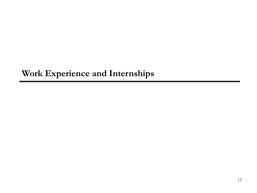### **Work Experience and Internships**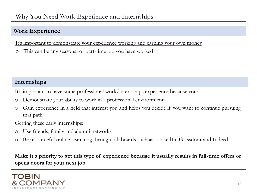#### Why You Need Work Experience and Internships

#### **Work Experience**

It's important to demonstrate your experience working and earning your own money

o This can be any seasonal or part-time job you have worked

#### **Internships**

It's important to have some professional work/internships experience because you:

- o Demonstrate your ability to work in a professional environment
- o Gain experience in a field that interest you and helps you decide if you want to continue pursuing that path

Getting these early internships:

- o Use friends, family and alumni networks
- o Be resourceful online searching through job boards such as: LinkedIn, Glassdoor and Indeed

Make it a priority to get this type of experience because it usually results in full-time offers or **opens doors for your next job**

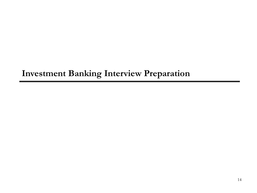# **Investment Banking Interview Preparation**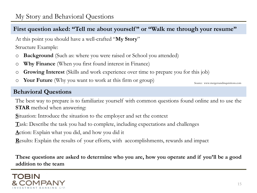#### **First question asked: "Tell me about yourself " or "Walk me through your resume"**

At this point you should have a well-crafted "**My Story**"

Structure Example:

- o **Background** (Such as: where you were raised or School you attended)
- o **Why Finance** (When you first found interest in Finance)
- o **Growing Interest** (Skills and work experience over time to prepare you for this job)
- o **Your Future** (Why you want to work at this firm or group)

Source: www.mergersandinquisitions.com

#### **Behavioral Questions**

The best way to prepare is to familiarize yourself with common questions found online and to use the **STAR** method when answering:

**S**ituation: Introduce the situation to the employer and set the context

**T**ask: Describe the task you had to complete, including expectations and challenges

**A**ction: Explain what you did, and how you did it

**R**esults: Explain the results of your efforts, with accomplishments, rewards and impact

**These questions are asked to determine who you are, how you operate and if you'll be a good addition to the team**

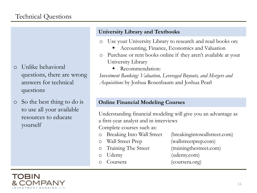- o Unlike behavioral questions, there are wrong answers for technical questions
- o So the best thing to do is to use all your available resources to educate yourself

#### **University Library and Textbooks**

- Use your University Library to research and read books on:
	- Accounting, Finance, Economics and Valuation
- o Purchase or rent books online if they aren't available at your University Library
	- Recommendation:

*Investment Banking: Valuation, Leveraged Buyouts, and Mergers and Acquisitions* by Joshua Rosenbaum and Joshua Pearl

#### **Online Financial Modeling Courses**

Understanding financial modeling will give you an advantage as a first-year analyst and in interviews Complete courses such as:

- Breaking Into Wall Street (breaking intowallstreet.com)
	-
- 
- 
- 
- 
- o Wall Street Prep (wallstreetprep.com)
- o Training The Street (trainingthestreet.com)
	- Udemy (udemy.com)
	- Coursera (coursera.org)

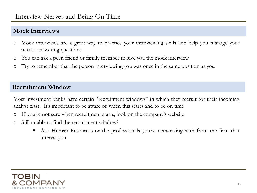#### **Mock Interviews**

- o Mock interviews are a great way to practice your interviewing skills and help you manage your nerves answering questions
- o You can ask a peer, friend or family member to give you the mock interview
- o Try to remember that the person interviewing you was once in the same position as you

#### **Recruitment Window**

Most investment banks have certain "recruitment windows" in which they recruit for their incoming analyst class. It's important to be aware of when this starts and to be on time

- If you're not sure when recruitment starts, look on the company's website
- o Still unable to find the recruitment window?
	- Ask Human Resources or the professionals you're networking with from the firm that interest you

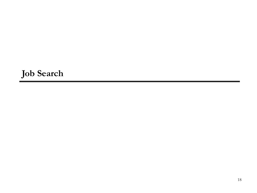# **Job Search**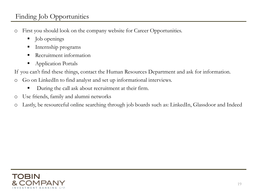### Finding Job Opportunities

- o First you should look on the company website for Career Opportunities.
	- Job openings
	- Internship programs
	- Recruitment information
	- **Application Portals**

If you can't find these things, contact the Human Resources Department and ask for information.

- o Go on LinkedIn to find analyst and set up informational interviews.
	- During the call ask about recruitment at their firm.
- o Use friends, family and alumni networks
- o Lastly, be resourceful online searching through job boards such as: LinkedIn, Glassdoor and Indeed